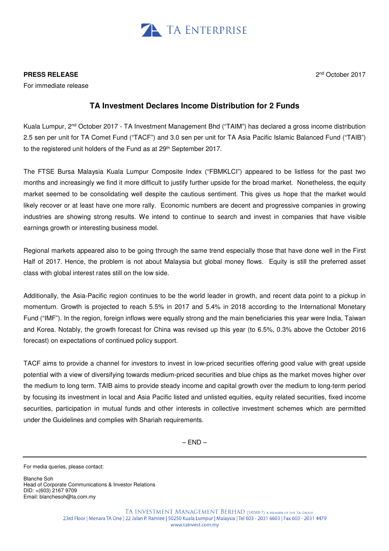

### **PRESS RELEASE**

For immediate release

# 2 nd October 2017

## **TA Investment Declares Income Distribution for 2 Funds**

Kuala Lumpur, 2nd October 2017 - TA Investment Management Bhd ("TAIM") has declared a gross income distribution 2.5 sen per unit for TA Comet Fund ("TACF") and 3.0 sen per unit for TA Asia Pacific Islamic Balanced Fund ("TAIB") to the registered unit holders of the Fund as at 29<sup>th</sup> September 2017.

The FTSE Bursa Malaysia Kuala Lumpur Composite Index ("FBMKLCI") appeared to be listless for the past two months and increasingly we find it more difficult to justify further upside for the broad market. Nonetheless, the equity market seemed to be consolidating well despite the cautious sentiment. This gives us hope that the market would likely recover or at least have one more rally. Economic numbers are decent and progressive companies in growing industries are showing strong results. We intend to continue to search and invest in companies that have visible earnings growth or interesting business model.

Regional markets appeared also to be going through the same trend especially those that have done well in the First Half of 2017. Hence, the problem is not about Malaysia but global money flows. Equity is still the preferred asset class with global interest rates still on the low side.

Additionally, the Asia-Pacific region continues to be the world leader in growth, and recent data point to a pickup in momentum. Growth is projected to reach 5.5% in 2017 and 5.4% in 2018 according to the International Monetary Fund ("IMF"). In the region, foreign inflows were equally strong and the main beneficiaries this year were India, Taiwan and Korea. Notably, the growth forecast for China was revised up this year (to 6.5%, 0.3% above the October 2016 forecast) on expectations of continued policy support.

TACF aims to provide a channel for investors to invest in low-priced securities offering good value with great upside potential with a view of diversifying towards medium-priced securities and blue chips as the market moves higher over the medium to long term. TAIB aims to provide steady income and capital growth over the medium to long-term period by focusing its investment in local and Asia Pacific listed and unlisted equities, equity related securities, fixed income securities, participation in mutual funds and other interests in collective investment schemes which are permitted under the Guidelines and complies with Shariah requirements.

 $-$  END $-$ 

For media queries, please contact:

Blanche Soh Head of Corporate Communications & Investor Relations DID: +(603) 2167 9709 Email: blanchesoh@ta.com.my